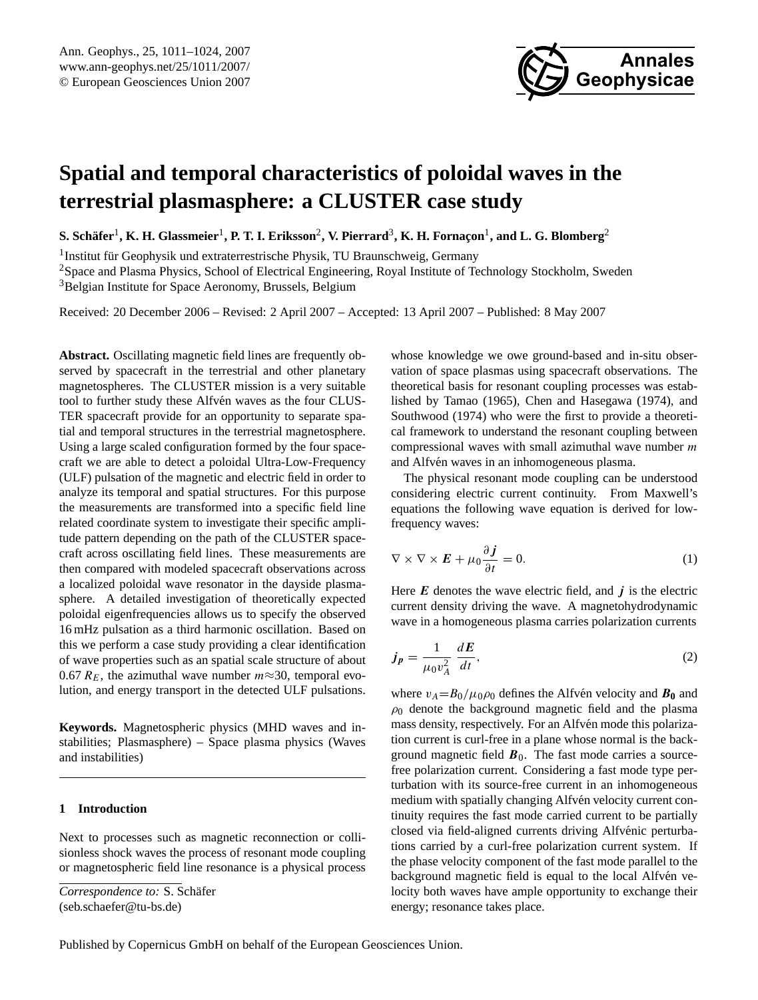

# <span id="page-0-1"></span>**Spatial and temporal characteristics of poloidal waves in the terrestrial plasmasphere: a CLUSTER case study**

 ${\bf S.}$  Schäfer<sup>1</sup>, **K. H.** Glassmeier<sup>1</sup>, **P. T. I. Eriksson<sup>2</sup>, V. Pierrard<sup>3</sup>, K. H. Fornaçon<sup>1</sup>, and L. G. Blomberg<sup>2</sup>** 

<sup>1</sup> Institut für Geophysik und extraterrestrische Physik, TU Braunschweig, Germany

<sup>2</sup>Space and Plasma Physics, School of Electrical Engineering, Royal Institute of Technology Stockholm, Sweden <sup>3</sup>Belgian Institute for Space Aeronomy, Brussels, Belgium

Received: 20 December 2006 – Revised: 2 April 2007 – Accepted: 13 April 2007 – Published: 8 May 2007

**Abstract.** Oscillating magnetic field lines are frequently observed by spacecraft in the terrestrial and other planetary magnetospheres. The CLUSTER mission is a very suitable tool to further study these Alfvén waves as the four CLUS-TER spacecraft provide for an opportunity to separate spatial and temporal structures in the terrestrial magnetosphere. Using a large scaled configuration formed by the four spacecraft we are able to detect a poloidal Ultra-Low-Frequency (ULF) pulsation of the magnetic and electric field in order to analyze its temporal and spatial structures. For this purpose the measurements are transformed into a specific field line related coordinate system to investigate their specific amplitude pattern depending on the path of the CLUSTER spacecraft across oscillating field lines. These measurements are then compared with modeled spacecraft observations across a localized poloidal wave resonator in the dayside plasmasphere. A detailed investigation of theoretically expected poloidal eigenfrequencies allows us to specify the observed 16 mHz pulsation as a third harmonic oscillation. Based on this we perform a case study providing a clear identification of wave properties such as an spatial scale structure of about 0.67  $R_E$ , the azimuthal wave number  $m \approx 30$ , temporal evolution, and energy transport in the detected ULF pulsations.

**Keywords.** Magnetospheric physics (MHD waves and instabilities; Plasmasphere) – Space plasma physics (Waves and instabilities)

## **1 Introduction**

Next to processes such as magnetic reconnection or collisionless shock waves the process of resonant mode coupling or magnetospheric field line resonance is a physical process whose knowledge we owe ground-based and in-situ observation of space plasmas using spacecraft observations. The theoretical basis for resonant coupling processes was established by [Tamao](#page-13-0) [\(1965\)](#page-13-0), [Chen and Hasegawa](#page-11-0) [\(1974\)](#page-11-0), and [Southwood](#page-13-1) [\(1974\)](#page-13-1) who were the first to provide a theoretical framework to understand the resonant coupling between compressional waves with small azimuthal wave number  $m$ and Alfvén waves in an inhomogeneous plasma.

The physical resonant mode coupling can be understood considering electric current continuity. From Maxwell's equations the following wave equation is derived for lowfrequency waves:

<span id="page-0-0"></span>
$$
\nabla \times \nabla \times \boldsymbol{E} + \mu_0 \frac{\partial \boldsymbol{j}}{\partial t} = 0.
$$
 (1)

Here  $E$  denotes the wave electric field, and  $j$  is the electric current density driving the wave. A magnetohydrodynamic wave in a homogeneous plasma carries polarization currents

$$
j_p = \frac{1}{\mu_0 v_A^2} \frac{dE}{dt},\tag{2}
$$

where  $v_A = B_0 / \mu_0 \rho_0$  defines the Alfvén velocity and  $\mathbf{B}_0$  and  $\rho_0$  denote the background magnetic field and the plasma mass density, respectively. For an Alfvén mode this polarization current is curl-free in a plane whose normal is the background magnetic field  $\mathbf{B}_0$ . The fast mode carries a sourcefree polarization current. Considering a fast mode type perturbation with its source-free current in an inhomogeneous medium with spatially changing Alfvén velocity current continuity requires the fast mode carried current to be partially closed via field-aligned currents driving Alfvénic perturbations carried by a curl-free polarization current system. If the phase velocity component of the fast mode parallel to the background magnetic field is equal to the local Alfvén velocity both waves have ample opportunity to exchange their energy; resonance takes place.

*Correspondence to:* S. Schafer ¨ (seb.schaefer@tu-bs.de)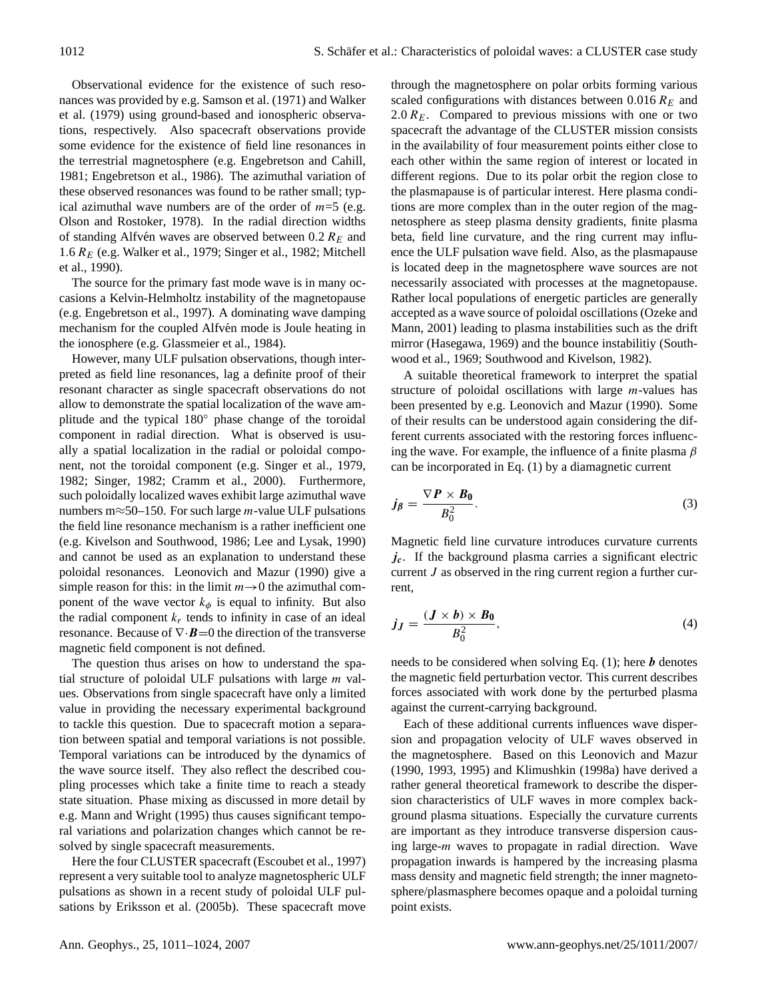Observational evidence for the existence of such resonances was provided by e.g. [Samson et al.](#page-12-0) [\(1971\)](#page-12-0) and [Walker](#page-13-2) [et al.](#page-13-2) [\(1979\)](#page-13-2) using ground-based and ionospheric observations, respectively. Also spacecraft observations provide some evidence for the existence of field line resonances in the terrestrial magnetosphere (e.g. [Engebretson and Cahill,](#page-11-1) [1981;](#page-11-1) [Engebretson et al.,](#page-11-2) [1986\)](#page-11-2). The azimuthal variation of these observed resonances was found to be rather small; typical azimuthal wave numbers are of the order of  $m=5$  (e.g. [Olson and Rostoker,](#page-12-1) [1978\)](#page-12-1). In the radial direction widths of standing Alfvén waves are observed between  $0.2 R<sub>E</sub>$  and 1.6  $R_E$  (e.g. [Walker et al.,](#page-13-2) [1979;](#page-13-2) [Singer et al.,](#page-13-3) [1982;](#page-13-3) [Mitchell](#page-12-2) [et al.,](#page-12-2) [1990\)](#page-12-2).

The source for the primary fast mode wave is in many occasions a Kelvin-Helmholtz instability of the magnetopause (e.g. [Engebretson et al.,](#page-11-3) [1997\)](#page-11-3). A dominating wave damping mechanism for the coupled Alfven mode is Joule heating in the ionosphere (e.g. [Glassmeier et al.,](#page-12-3) [1984\)](#page-12-3).

However, many ULF pulsation observations, though interpreted as field line resonances, lag a definite proof of their resonant character as single spacecraft observations do not allow to demonstrate the spatial localization of the wave amplitude and the typical 180◦ phase change of the toroidal component in radial direction. What is observed is usually a spatial localization in the radial or poloidal component, not the toroidal component (e.g. [Singer et al.,](#page-12-4) [1979,](#page-12-4) [1982;](#page-13-3) [Singer,](#page-12-5) [1982;](#page-12-5) [Cramm et al.,](#page-11-4) [2000\)](#page-11-4). Furthermore, such poloidally localized waves exhibit large azimuthal wave numbers m $\approx$ 50–150. For such large *m*-value ULF pulsations the field line resonance mechanism is a rather inefficient one (e.g. [Kivelson and Southwood,](#page-12-6) [1986;](#page-12-6) [Lee and Lysak,](#page-12-7) [1990\)](#page-12-7) and cannot be used as an explanation to understand these poloidal resonances. [Leonovich and Mazur](#page-12-8) [\(1990\)](#page-12-8) give a simple reason for this: in the limit  $m\rightarrow 0$  the azimuthal component of the wave vector  $k_{\phi}$  is equal to infinity. But also the radial component  $k_r$  tends to infinity in case of an ideal resonance. Because of  $\nabla \cdot \mathbf{B} = 0$  the direction of the transverse magnetic field component is not defined.

The question thus arises on how to understand the spatial structure of poloidal ULF pulsations with large  $m$  values. Observations from single spacecraft have only a limited value in providing the necessary experimental background to tackle this question. Due to spacecraft motion a separation between spatial and temporal variations is not possible. Temporal variations can be introduced by the dynamics of the wave source itself. They also reflect the described coupling processes which take a finite time to reach a steady state situation. Phase mixing as discussed in more detail by e.g. [Mann and Wright](#page-12-9) [\(1995\)](#page-12-9) thus causes significant temporal variations and polarization changes which cannot be resolved by single spacecraft measurements.

Here the four CLUSTER spacecraft [\(Escoubet et al.,](#page-11-5) [1997\)](#page-11-5) represent a very suitable tool to analyze magnetospheric ULF pulsations as shown in a recent study of poloidal ULF pulsations by [Eriksson et al.](#page-11-6) [\(2005b\)](#page-11-6). These spacecraft move through the magnetosphere on polar orbits forming various scaled configurations with distances between 0.016  $R_E$  and 2.0  $R_E$ . Compared to previous missions with one or two spacecraft the advantage of the CLUSTER mission consists in the availability of four measurement points either close to each other within the same region of interest or located in different regions. Due to its polar orbit the region close to the plasmapause is of particular interest. Here plasma conditions are more complex than in the outer region of the magnetosphere as steep plasma density gradients, finite plasma beta, field line curvature, and the ring current may influence the ULF pulsation wave field. Also, as the plasmapause is located deep in the magnetosphere wave sources are not necessarily associated with processes at the magnetopause. Rather local populations of energetic particles are generally accepted as a wave source of poloidal oscillations [\(Ozeke and](#page-12-10) [Mann,](#page-12-10) [2001\)](#page-12-10) leading to plasma instabilities such as the drift mirror [\(Hasegawa,](#page-12-11) [1969\)](#page-12-11) and the bounce instabilitiy [\(South](#page-13-4)[wood et al.,](#page-13-4) [1969;](#page-13-4) [Southwood and Kivelson,](#page-13-5) [1982\)](#page-13-5).

A suitable theoretical framework to interpret the spatial structure of poloidal oscillations with large  $m$ -values has been presented by e.g. [Leonovich and Mazur](#page-12-8) [\(1990\)](#page-12-8). Some of their results can be understood again considering the different currents associated with the restoring forces influencing the wave. For example, the influence of a finite plasma  $\beta$ can be incorporated in Eq. [\(1\)](#page-0-0) by a diamagnetic current

$$
j_{\beta} = \frac{\nabla P \times B_0}{B_0^2}.
$$
 (3)

Magnetic field line curvature introduces curvature currents  $j_c$ . If the background plasma carries a significant electric current J as observed in the ring current region a further current,

$$
j_J = \frac{(J \times b) \times B_0}{B_0^2},\tag{4}
$$

needs to be considered when solving Eq.  $(1)$ ; here **b** denotes the magnetic field perturbation vector. This current describes forces associated with work done by the perturbed plasma against the current-carrying background.

Each of these additional currents influences wave dispersion and propagation velocity of ULF waves observed in the magnetosphere. Based on this [Leonovich and Mazur](#page-12-8) [\(1990,](#page-12-8) [1993,](#page-12-12) [1995\)](#page-12-13) and [Klimushkin](#page-12-14) [\(1998a\)](#page-12-14) have derived a rather general theoretical framework to describe the dispersion characteristics of ULF waves in more complex background plasma situations. Especially the curvature currents are important as they introduce transverse dispersion causing large-m waves to propagate in radial direction. Wave propagation inwards is hampered by the increasing plasma mass density and magnetic field strength; the inner magnetosphere/plasmasphere becomes opaque and a poloidal turning point exists.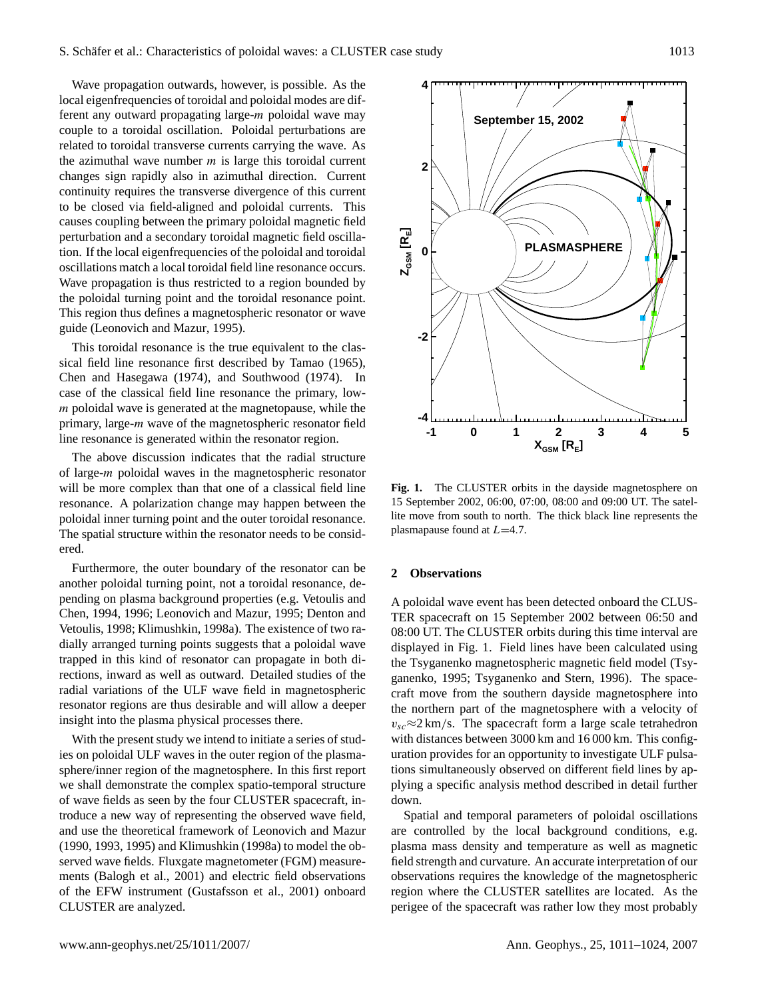Wave propagation outwards, however, is possible. As the local eigenfrequencies of toroidal and poloidal modes are different any outward propagating large-m poloidal wave may couple to a toroidal oscillation. Poloidal perturbations are related to toroidal transverse currents carrying the wave. As the azimuthal wave number  $m$  is large this toroidal current changes sign rapidly also in azimuthal direction. Current continuity requires the transverse divergence of this current to be closed via field-aligned and poloidal currents. This causes coupling between the primary poloidal magnetic field perturbation and a secondary toroidal magnetic field oscillation. If the local eigenfrequencies of the poloidal and toroidal oscillations match a local toroidal field line resonance occurs. Wave propagation is thus restricted to a region bounded by the poloidal turning point and the toroidal resonance point. This region thus defines a magnetospheric resonator or wave guide [\(Leonovich and Mazur,](#page-12-13) [1995\)](#page-12-13).

This toroidal resonance is the true equivalent to the classical field line resonance first described by [Tamao](#page-13-0) [\(1965\)](#page-13-0), [Chen and Hasegawa](#page-11-0) [\(1974\)](#page-11-0), and [Southwood](#page-13-1) [\(1974\)](#page-13-1). In case of the classical field line resonance the primary, lowm poloidal wave is generated at the magnetopause, while the primary, large-m wave of the magnetospheric resonator field line resonance is generated within the resonator region.

The above discussion indicates that the radial structure of large-m poloidal waves in the magnetospheric resonator will be more complex than that one of a classical field line resonance. A polarization change may happen between the poloidal inner turning point and the outer toroidal resonance. The spatial structure within the resonator needs to be considered.

Furthermore, the outer boundary of the resonator can be another poloidal turning point, not a toroidal resonance, depending on plasma background properties (e.g. [Vetoulis and](#page-13-6) [Chen,](#page-13-6) [1994,](#page-13-6) [1996;](#page-13-7) [Leonovich and Mazur,](#page-12-13) [1995;](#page-12-13) [Denton and](#page-11-7) [Vetoulis,](#page-11-7) [1998;](#page-11-7) [Klimushkin,](#page-12-14) [1998a\)](#page-12-14). The existence of two radially arranged turning points suggests that a poloidal wave trapped in this kind of resonator can propagate in both directions, inward as well as outward. Detailed studies of the radial variations of the ULF wave field in magnetospheric resonator regions are thus desirable and will allow a deeper insight into the plasma physical processes there.

With the present study we intend to initiate a series of studies on poloidal ULF waves in the outer region of the plasmasphere/inner region of the magnetosphere. In this first report we shall demonstrate the complex spatio-temporal structure of wave fields as seen by the four CLUSTER spacecraft, introduce a new way of representing the observed wave field, and use the theoretical framework of [Leonovich and Mazur](#page-12-8) [\(1990,](#page-12-8) [1993,](#page-12-12) [1995\)](#page-12-13) and [Klimushkin](#page-12-14) [\(1998a\)](#page-12-14) to model the observed wave fields. Fluxgate magnetometer (FGM) measurements [\(Balogh et al.,](#page-11-8) [2001\)](#page-11-8) and electric field observations of the EFW instrument [\(Gustafsson et al.,](#page-12-15) [2001\)](#page-12-15) onboard CLUSTER are analyzed.



<span id="page-2-0"></span>**Fig. 1.** The CLUSTER orbits in the dayside magnetosphere on 15 September 2002, 06:00, 07:00, 08:00 and 09:00 UT. The satellite move from south to north. The thick black line represents the plasmapause found at  $L=4.7$ .

## <span id="page-2-1"></span>**2 Observations**

A poloidal wave event has been detected onboard the CLUS-TER spacecraft on 15 September 2002 between 06:50 and 08:00 UT. The CLUSTER orbits during this time interval are displayed in Fig. [1.](#page-2-0) Field lines have been calculated using the Tsyganenko magnetospheric magnetic field model [\(Tsy](#page-13-8)[ganenko,](#page-13-8) [1995;](#page-13-8) [Tsyganenko and Stern,](#page-13-9) [1996\)](#page-13-9). The spacecraft move from the southern dayside magnetosphere into the northern part of the magnetosphere with a velocity of  $v_{sc} \approx 2 \text{ km/s}$ . The spacecraft form a large scale tetrahedron with distances between 3000 km and 16 000 km. This configuration provides for an opportunity to investigate ULF pulsations simultaneously observed on different field lines by applying a specific analysis method described in detail further down.

Spatial and temporal parameters of poloidal oscillations are controlled by the local background conditions, e.g. plasma mass density and temperature as well as magnetic field strength and curvature. An accurate interpretation of our observations requires the knowledge of the magnetospheric region where the CLUSTER satellites are located. As the perigee of the spacecraft was rather low they most probably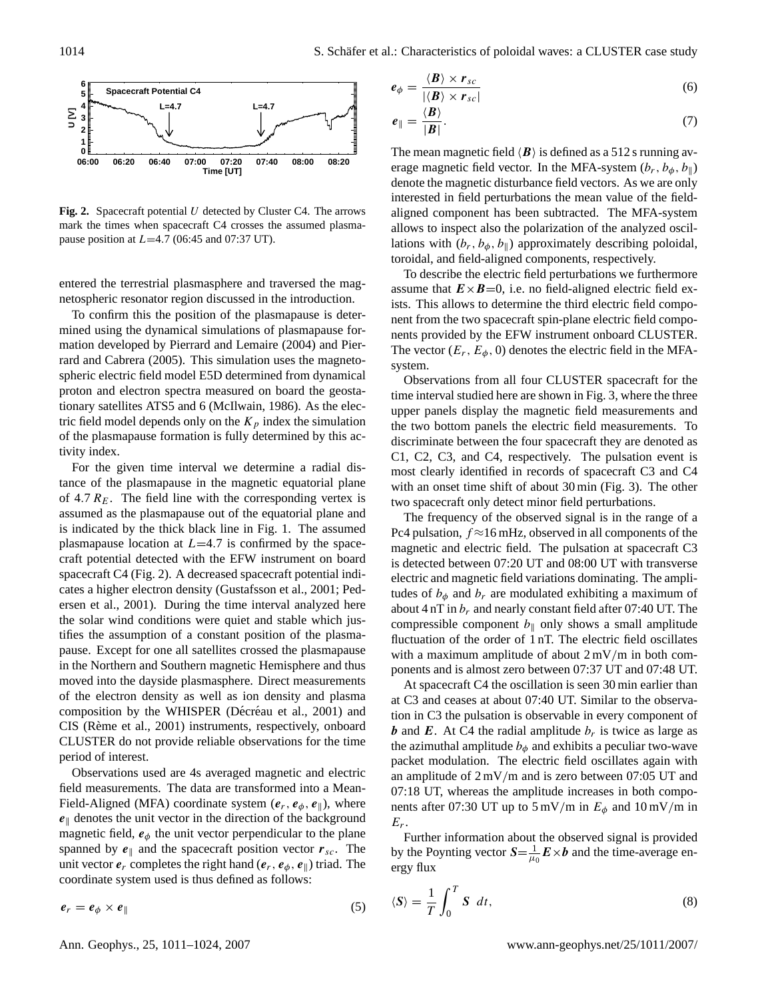

<span id="page-3-0"></span>Fig. 2. Spacecraft potential U detected by Cluster C4. The arrows mark the times when spacecraft C4 crosses the assumed plasmapause position at  $L=4.7$  (06:45 and 07:37 UT).

entered the terrestrial plasmasphere and traversed the magnetospheric resonator region discussed in the introduction.

To confirm this the position of the plasmapause is determined using the dynamical simulations of plasmapause formation developed by [Pierrard and Lemaire](#page-12-16) [\(2004\)](#page-12-16) and [Pier](#page-12-17)[rard and Cabrera](#page-12-17) [\(2005\)](#page-12-17). This simulation uses the magnetospheric electric field model E5D determined from dynamical proton and electron spectra measured on board the geostationary satellites ATS5 and 6 [\(McIlwain,](#page-12-18) [1986\)](#page-12-18). As the electric field model depends only on the  $K_p$  index the simulation of the plasmapause formation is fully determined by this activity index.

For the given time interval we determine a radial distance of the plasmapause in the magnetic equatorial plane of 4.7  $R_E$ . The field line with the corresponding vertex is assumed as the plasmapause out of the equatorial plane and is indicated by the thick black line in Fig. [1.](#page-2-0) The assumed plasmapause location at  $L=4.7$  is confirmed by the spacecraft potential detected with the EFW instrument on board spacecraft C4 (Fig. [2\)](#page-3-0). A decreased spacecraft potential indicates a higher electron density [\(Gustafsson et al.,](#page-12-15) [2001;](#page-12-15) [Ped](#page-12-19)[ersen et al.,](#page-12-19) [2001\)](#page-12-19). During the time interval analyzed here the solar wind conditions were quiet and stable which justifies the assumption of a constant position of the plasmapause. Except for one all satellites crossed the plasmapause in the Northern and Southern magnetic Hemisphere and thus moved into the dayside plasmasphere. Direct measurements of the electron density as well as ion density and plasma composition by the WHISPER (Décréau et al., [2001\)](#page-11-9) and CIS (Rème et al., [2001\)](#page-12-20) instruments, respectively, onboard CLUSTER do not provide reliable observations for the time period of interest.

Observations used are 4s averaged magnetic and electric field measurements. The data are transformed into a Mean-Field-Aligned (MFA) coordinate system  $(e_r, e_\phi, e_\parallel)$ , where  $e_{\parallel}$  denotes the unit vector in the direction of the background magnetic field,  $e_{\phi}$  the unit vector perpendicular to the plane spanned by  $e_{\parallel}$  and the spacecraft position vector  $r_{sc}$ . The unit vector  $e_r$  completes the right hand  $(e_r, e_\phi, e_\parallel)$  triad. The coordinate system used is thus defined as follows:

 $e_r = e_\phi \times e_\parallel$  (5)

$$
e_{\phi} = \frac{\langle \boldsymbol{B} \rangle \times \boldsymbol{r}_{sc}}{|\langle \boldsymbol{B} \rangle \times \boldsymbol{r}_{sc}|} \tag{6}
$$

$$
e_{\parallel} = \frac{\langle B \rangle}{|B|}.\tag{7}
$$

The mean magnetic field  $\langle \bm{B} \rangle$  is defined as a 512 s running average magnetic field vector. In the MFA-system  $(b_r, b_\phi, b_\parallel)$ denote the magnetic disturbance field vectors. As we are only interested in field perturbations the mean value of the fieldaligned component has been subtracted. The MFA-system allows to inspect also the polarization of the analyzed oscillations with  $(b_r, b_\phi, b_\parallel)$  approximately describing poloidal, toroidal, and field-aligned components, respectively.

To describe the electric field perturbations we furthermore assume that  $\mathbf{E} \times \mathbf{B} = 0$ , i.e. no field-aligned electric field exists. This allows to determine the third electric field component from the two spacecraft spin-plane electric field components provided by the EFW instrument onboard CLUSTER. The vector  $(E_r, E_\phi, 0)$  denotes the electric field in the MFAsystem.

Observations from all four CLUSTER spacecraft for the time interval studied here are shown in Fig. [3,](#page-4-0) where the three upper panels display the magnetic field measurements and the two bottom panels the electric field measurements. To discriminate between the four spacecraft they are denoted as C1, C2, C3, and C4, respectively. The pulsation event is most clearly identified in records of spacecraft C3 and C4 with an onset time shift of about 30 min (Fig. [3\)](#page-4-0). The other two spacecraft only detect minor field perturbations.

The frequency of the observed signal is in the range of a Pc4 pulsation,  $f \approx 16$  mHz, observed in all components of the magnetic and electric field. The pulsation at spacecraft C3 is detected between 07:20 UT and 08:00 UT with transverse electric and magnetic field variations dominating. The amplitudes of  $b_{\phi}$  and  $b_r$  are modulated exhibiting a maximum of about 4 nT in  $b_r$  and nearly constant field after 07:40 UT. The compressible component  $b_{\parallel}$  only shows a small amplitude fluctuation of the order of 1 nT. The electric field oscillates with a maximum amplitude of about  $2 \text{ mV/m}$  in both components and is almost zero between 07:37 UT and 07:48 UT.

At spacecraft C4 the oscillation is seen 30 min earlier than at C3 and ceases at about 07:40 UT. Similar to the observation in C3 the pulsation is observable in every component of *b* and **E**. At C4 the radial amplitude  $b_r$  is twice as large as the azimuthal amplitude  $b_{\phi}$  and exhibits a peculiar two-wave packet modulation. The electric field oscillates again with an amplitude of 2 mV/m and is zero between 07:05 UT and 07:18 UT, whereas the amplitude increases in both components after 07:30 UT up to  $5 \text{ mV/m}$  in  $E_{\phi}$  and  $10 \text{ mV/m}$  in  $E_r$ .

Further information about the observed signal is provided by the Poynting vector  $S = \frac{1}{\mu_0} E \times b$  and the time-average energy flux

$$
\langle S \rangle = \frac{1}{T} \int_0^T S \ dt,
$$
\n(8)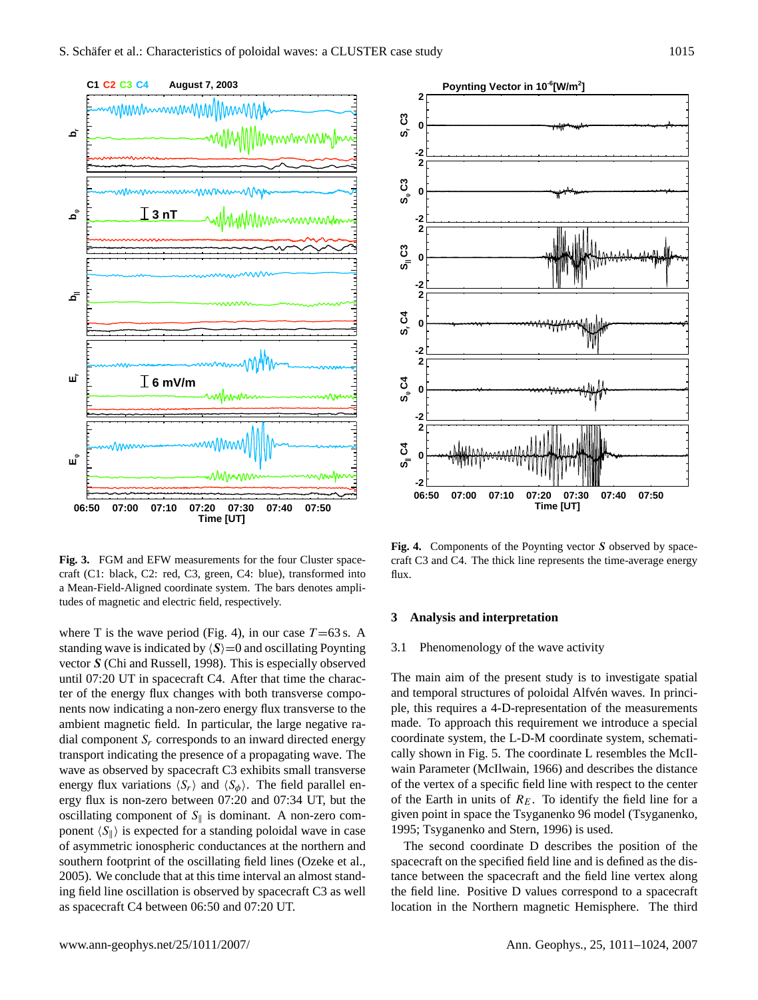

<span id="page-4-0"></span>**Fig. 3.** FGM and EFW measurements for the four Cluster spacecraft (C1: black, C2: red, C3, green, C4: blue), transformed into a Mean-Field-Aligned coordinate system. The bars denotes amplitudes of magnetic and electric field, respectively.

where T is the wave period (Fig. [4\)](#page-4-1), in our case  $T = 63$  s. A standing wave is indicated by  $\langle S \rangle = 0$  and oscillating Poynting vector S [\(Chi and Russell,](#page-11-10) [1998\)](#page-11-10). This is especially observed until 07:20 UT in spacecraft C4. After that time the character of the energy flux changes with both transverse components now indicating a non-zero energy flux transverse to the ambient magnetic field. In particular, the large negative radial component  $S_r$  corresponds to an inward directed energy transport indicating the presence of a propagating wave. The wave as observed by spacecraft C3 exhibits small transverse energy flux variations  $\langle S_r \rangle$  and  $\langle S_{\phi} \rangle$ . The field parallel energy flux is non-zero between 07:20 and 07:34 UT, but the oscillating component of  $S_{\parallel}$  is dominant. A non-zero component  $\langle S_{\parallel} \rangle$  is expected for a standing poloidal wave in case of asymmetric ionospheric conductances at the northern and southern footprint of the oscillating field lines [\(Ozeke et al.,](#page-12-21) [2005\)](#page-12-21). We conclude that at this time interval an almost standing field line oscillation is observed by spacecraft C3 as well as spacecraft C4 between 06:50 and 07:20 UT.



<span id="page-4-1"></span>Fig. 4. Components of the Poynting vector S observed by spacecraft C3 and C4. The thick line represents the time-average energy flux.

#### **3 Analysis and interpretation**

### 3.1 Phenomenology of the wave activity

The main aim of the present study is to investigate spatial and temporal structures of poloidal Alfvén waves. In principle, this requires a 4-D-representation of the measurements made. To approach this requirement we introduce a special coordinate system, the L-D-M coordinate system, schematically shown in Fig. [5.](#page-5-0) The coordinate L resembles the McIlwain Parameter [\(McIlwain,](#page-12-22) [1966\)](#page-12-22) and describes the distance of the vertex of a specific field line with respect to the center of the Earth in units of  $R<sub>E</sub>$ . To identify the field line for a given point in space the Tsyganenko 96 model [\(Tsyganenko,](#page-13-8) [1995;](#page-13-8) [Tsyganenko and Stern,](#page-13-9) [1996\)](#page-13-9) is used.

The second coordinate D describes the position of the spacecraft on the specified field line and is defined as the distance between the spacecraft and the field line vertex along the field line. Positive D values correspond to a spacecraft location in the Northern magnetic Hemisphere. The third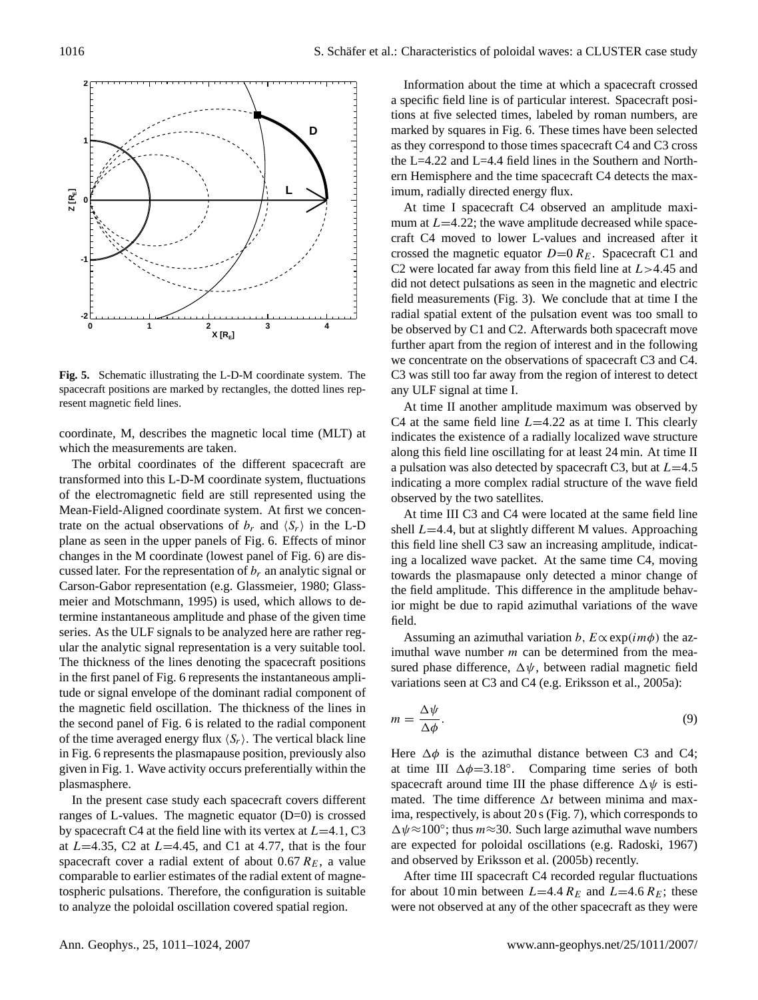

<span id="page-5-0"></span>**Fig. 5.** Schematic illustrating the L-D-M coordinate system. The spacecraft positions are marked by rectangles, the dotted lines represent magnetic field lines.

coordinate, M, describes the magnetic local time (MLT) at which the measurements are taken.

The orbital coordinates of the different spacecraft are transformed into this L-D-M coordinate system, fluctuations of the electromagnetic field are still represented using the Mean-Field-Aligned coordinate system. At first we concentrate on the actual observations of  $b_r$  and  $\langle S_r \rangle$  in the L-D plane as seen in the upper panels of Fig. [6.](#page-6-0) Effects of minor changes in the M coordinate (lowest panel of Fig. [6\)](#page-6-0) are discussed later. For the representation of  $b_r$  an analytic signal or Carson-Gabor representation (e.g. [Glassmeier,](#page-11-11) [1980;](#page-11-11) [Glass](#page-11-12)[meier and Motschmann,](#page-11-12) [1995\)](#page-11-12) is used, which allows to determine instantaneous amplitude and phase of the given time series. As the ULF signals to be analyzed here are rather regular the analytic signal representation is a very suitable tool. The thickness of the lines denoting the spacecraft positions in the first panel of Fig. [6](#page-6-0) represents the instantaneous amplitude or signal envelope of the dominant radial component of the magnetic field oscillation. The thickness of the lines in the second panel of Fig. [6](#page-6-0) is related to the radial component of the time averaged energy flux  $\langle S_r \rangle$ . The vertical black line in Fig. [6](#page-6-0) represents the plasmapause position, previously also given in Fig. [1.](#page-2-0) Wave activity occurs preferentially within the plasmasphere.

In the present case study each spacecraft covers different ranges of L-values. The magnetic equator (D=0) is crossed by spacecraft C4 at the field line with its vertex at  $L=4.1$ , C3 at  $L=4.35$ , C2 at  $L=4.45$ , and C1 at 4.77, that is the four spacecraft cover a radial extent of about 0.67  $R_E$ , a value comparable to earlier estimates of the radial extent of magnetospheric pulsations. Therefore, the configuration is suitable to analyze the poloidal oscillation covered spatial region.

Information about the time at which a spacecraft crossed a specific field line is of particular interest. Spacecraft positions at five selected times, labeled by roman numbers, are marked by squares in Fig. [6.](#page-6-0) These times have been selected as they correspond to those times spacecraft C4 and C3 cross the L=4.22 and L=4.4 field lines in the Southern and Northern Hemisphere and the time spacecraft C4 detects the maximum, radially directed energy flux.

At time I spacecraft C4 observed an amplitude maximum at  $L=4.22$ ; the wave amplitude decreased while spacecraft C4 moved to lower L-values and increased after it crossed the magnetic equator  $D=0 R_E$ . Spacecraft C1 and C2 were located far away from this field line at  $L > 4.45$  and did not detect pulsations as seen in the magnetic and electric field measurements (Fig. [3\)](#page-4-0). We conclude that at time I the radial spatial extent of the pulsation event was too small to be observed by C1 and C2. Afterwards both spacecraft move further apart from the region of interest and in the following we concentrate on the observations of spacecraft C3 and C4. C3 was still too far away from the region of interest to detect any ULF signal at time I.

At time II another amplitude maximum was observed by C4 at the same field line  $L=4.22$  as at time I. This clearly indicates the existence of a radially localized wave structure along this field line oscillating for at least 24 min. At time II a pulsation was also detected by spacecraft C3, but at  $L=4.5$ indicating a more complex radial structure of the wave field observed by the two satellites.

At time III C3 and C4 were located at the same field line shell  $L=4.4$ , but at slightly different M values. Approaching this field line shell C3 saw an increasing amplitude, indicating a localized wave packet. At the same time C4, moving towards the plasmapause only detected a minor change of the field amplitude. This difference in the amplitude behavior might be due to rapid azimuthal variations of the wave field.

Assuming an azimuthal variation b,  $E \propto \exp(i m \phi)$  the azimuthal wave number  $m$  can be determined from the measured phase difference,  $\Delta \psi$ , between radial magnetic field variations seen at C3 and C4 (e.g. [Eriksson et al.,](#page-11-13) [2005a\)](#page-11-13):

$$
m = \frac{\Delta \psi}{\Delta \phi}.\tag{9}
$$

Here  $\Delta \phi$  is the azimuthal distance between C3 and C4; at time III  $\Delta \phi = 3.18^\circ$ . Comparing time series of both spacecraft around time III the phase difference  $\Delta \psi$  is estimated. The time difference  $\Delta t$  between minima and maxima, respectively, is about 20 s (Fig. [7\)](#page-7-0), which corresponds to  $\Delta \psi \approx 100^{\circ}$ ; thus  $m \approx 30$ . Such large azimuthal wave numbers are expected for poloidal oscillations (e.g. [Radoski,](#page-12-23) [1967\)](#page-12-23) and observed by [Eriksson et al.](#page-11-6) [\(2005b\)](#page-11-6) recently.

After time III spacecraft C4 recorded regular fluctuations for about 10 min between  $L=4.4 R_E$  and  $L=4.6 R_E$ ; these were not observed at any of the other spacecraft as they were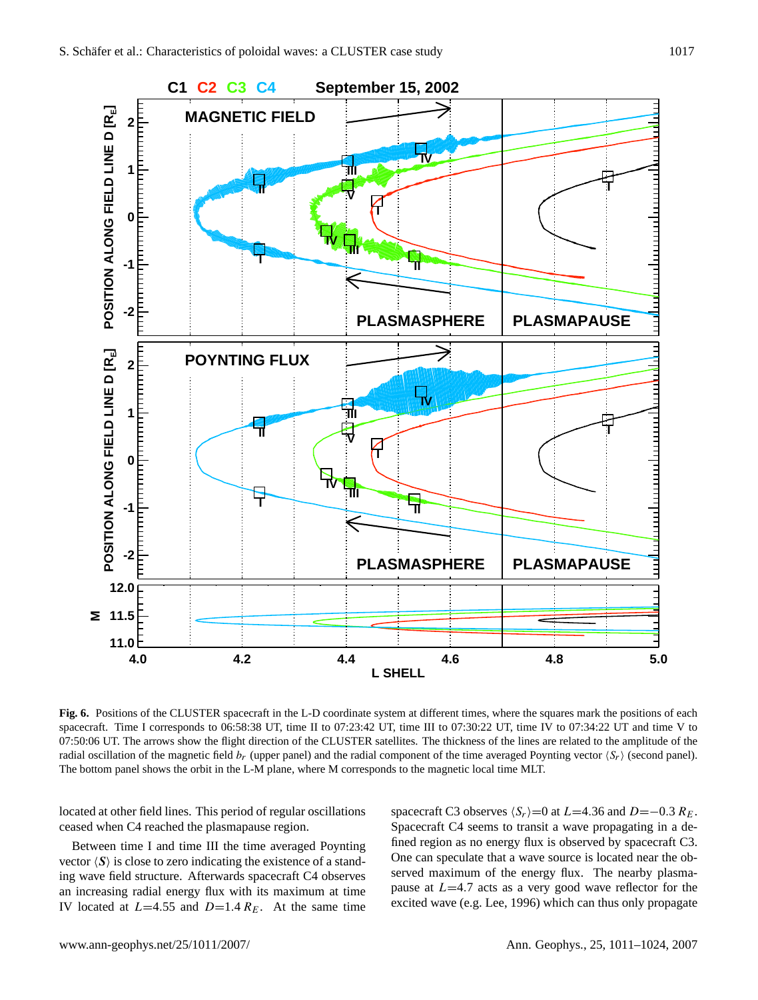

<span id="page-6-0"></span>**Fig. 6.** Positions of the CLUSTER spacecraft in the L-D coordinate system at different times, where the squares mark the positions of each spacecraft. Time I corresponds to 06:58:38 UT, time II to 07:23:42 UT, time III to 07:30:22 UT, time IV to 07:34:22 UT and time V to 07:50:06 UT. The arrows show the flight direction of the CLUSTER satellites. The thickness of the lines are related to the amplitude of the radial oscillation of the magnetic field  $b_r$  (upper panel) and the radial component of the time averaged Poynting vector  $\langle S_r \rangle$  (second panel). The bottom panel shows the orbit in the L-M plane, where M corresponds to the magnetic local time MLT.

located at other field lines. This period of regular oscillations ceased when C4 reached the plasmapause region.

Between time I and time III the time averaged Poynting vector  $\langle S \rangle$  is close to zero indicating the existence of a standing wave field structure. Afterwards spacecraft C4 observes an increasing radial energy flux with its maximum at time IV located at  $L=4.55$  and  $D=1.4 R_E$ . At the same time spacecraft C3 observes  $\langle S_r \rangle$ =0 at L=4.36 and D=−0.3 R<sub>E</sub>. Spacecraft C4 seems to transit a wave propagating in a defined region as no energy flux is observed by spacecraft C3. One can speculate that a wave source is located near the observed maximum of the energy flux. The nearby plasmapause at  $L=4.7$  acts as a very good wave reflector for the excited wave (e.g. [Lee,](#page-12-24) [1996\)](#page-12-24) which can thus only propagate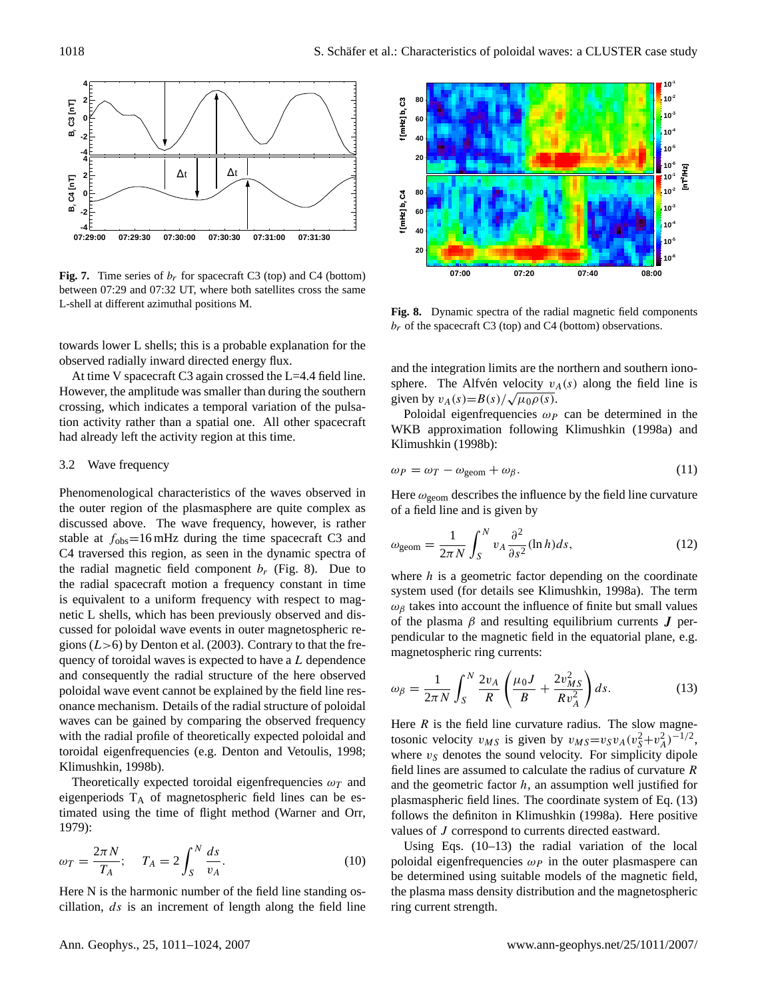

<span id="page-7-0"></span>**Fig. 7.** Time series of  $b_r$  for spacecraft C3 (top) and C4 (bottom) between 07:29 and 07:32 UT, where both satellites cross the same L-shell at different azimuthal positions M.

towards lower L shells; this is a probable explanation for the observed radially inward directed energy flux.

At time V spacecraft C3 again crossed the L=4.4 field line. However, the amplitude was smaller than during the southern crossing, which indicates a temporal variation of the pulsation activity rather than a spatial one. All other spacecraft had already left the activity region at this time.

#### 3.2 Wave frequency

Phenomenological characteristics of the waves observed in the outer region of the plasmasphere are quite complex as discussed above. The wave frequency, however, is rather stable at  $f_{\text{obs}} = 16 \text{ mHz}$  during the time spacecraft C3 and C4 traversed this region, as seen in the dynamic spectra of the radial magnetic field component  $b_r$  (Fig. [8\)](#page-7-1). Due to the radial spacecraft motion a frequency constant in time is equivalent to a uniform frequency with respect to magnetic L shells, which has been previously observed and discussed for poloidal wave events in outer magnetospheric regions  $(L>6)$  by [Denton et al.](#page-11-14) [\(2003\)](#page-11-14). Contrary to that the frequency of toroidal waves is expected to have a L dependence and consequently the radial structure of the here observed poloidal wave event cannot be explained by the field line resonance mechanism. Details of the radial structure of poloidal waves can be gained by comparing the observed frequency with the radial profile of theoretically expected poloidal and toroidal eigenfrequencies (e.g. [Denton and Vetoulis,](#page-11-7) [1998;](#page-11-7) [Klimushkin,](#page-12-25) [1998b\)](#page-12-25).

Theoretically expected toroidal eigenfrequencies  $\omega_T$  and eigenperiods  $T_A$  of magnetospheric field lines can be estimated using the time of flight method [\(Warner and Orr,](#page-13-10) [1979\)](#page-13-10):

<span id="page-7-3"></span>
$$
\omega_T = \frac{2\pi N}{T_A}; \quad T_A = 2\int_S^N \frac{ds}{v_A}.\tag{10}
$$

Here N is the harmonic number of the field line standing oscillation,  $ds$  is an increment of length along the field line



<span id="page-7-1"></span>**Fig. 8.** Dynamic spectra of the radial magnetic field components  $b_r$  of the spacecraft C3 (top) and C4 (bottom) observations.

and the integration limits are the northern and southern ionosphere. The Alfvén velocity  $v_A(s)$  along the field line is sphere. The Allven velocity  $v_{\lambda}$ <br>given by  $v_A(s) = B(s)/\sqrt{\mu_0 \rho(s)}$ .

Poloidal eigenfrequencies  $\omega_P$  can be determined in the WKB approximation following [Klimushkin](#page-12-14) [\(1998a\)](#page-12-14) and [Klimushkin](#page-12-25) [\(1998b\)](#page-12-25):

<span id="page-7-4"></span>
$$
\omega_P = \omega_T - \omega_{\text{geom}} + \omega_\beta. \tag{11}
$$

Here  $\omega_{\text{geom}}$  describes the influence by the field line curvature of a field line and is given by

<span id="page-7-5"></span>
$$
\omega_{\text{geom}} = \frac{1}{2\pi N} \int_{S}^{N} v_A \frac{\partial^2}{\partial s^2} (\ln h) ds, \tag{12}
$$

where  $h$  is a geometric factor depending on the coordinate system used (for details see [Klimushkin,](#page-12-14) [1998a\)](#page-12-14). The term  $\omega_\beta$  takes into account the influence of finite but small values of the plasma  $\beta$  and resulting equilibrium currents  $J$  perpendicular to the magnetic field in the equatorial plane, e.g. magnetospheric ring currents:

<span id="page-7-2"></span>
$$
\omega_{\beta} = \frac{1}{2\pi N} \int_{S}^{N} \frac{2v_{A}}{R} \left( \frac{\mu_{0}J}{B} + \frac{2v_{MS}^{2}}{Rv_{A}^{2}} \right) ds.
$$
 (13)

Here  $R$  is the field line curvature radius. The slow magnetosonic velocity  $v_{MS}$  is given by  $v_{MS} = v_S v_A (v_S^2 + v_A^2)^{-1/2}$ , where  $v<sub>S</sub>$  denotes the sound velocity. For simplicity dipole field lines are assumed to calculate the radius of curvature  $$ and the geometric factor  $h$ , an assumption well justified for plasmaspheric field lines. The coordinate system of Eq. [\(13\)](#page-7-2) follows the definiton in [Klimushkin](#page-12-14) [\(1998a\)](#page-12-14). Here positive values of J correspond to currents directed eastward.

Using Eqs. [\(10–](#page-7-3)[13\)](#page-7-2) the radial variation of the local poloidal eigenfrequencies  $\omega_P$  in the outer plasmaspere can be determined using suitable models of the magnetic field, the plasma mass density distribution and the magnetospheric ring current strength.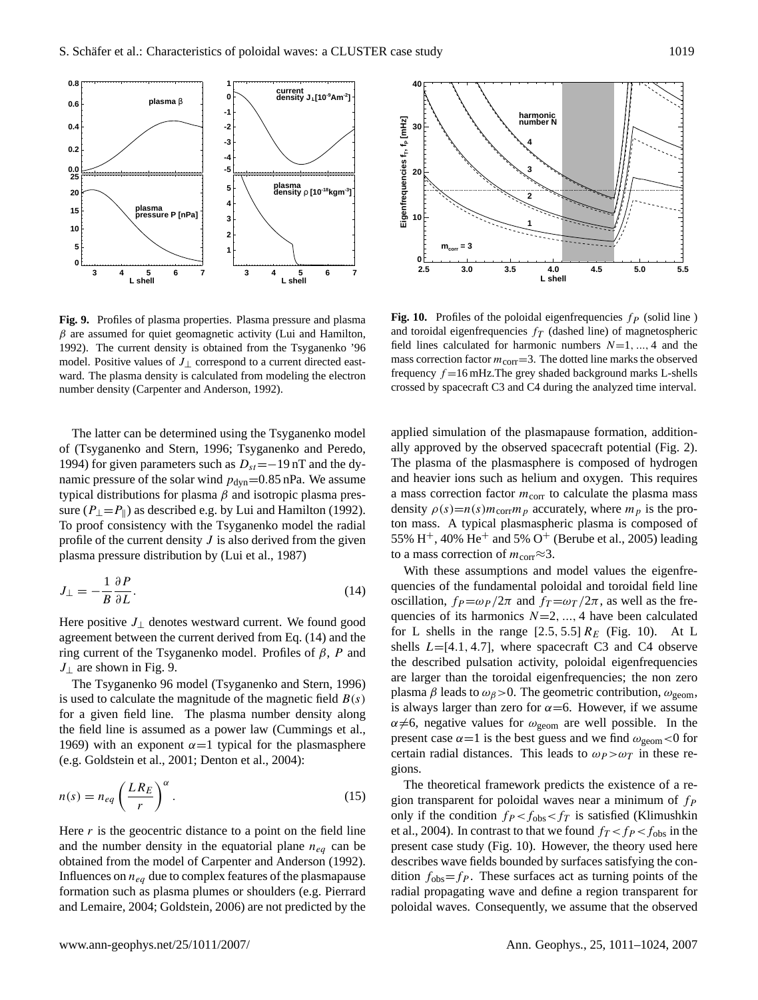

<span id="page-8-1"></span>**Fig. 9.** Profiles of plasma properties. Plasma pressure and plasma  $\beta$  are assumed for quiet geomagnetic activity [\(Lui and Hamilton,](#page-12-26) [1992\)](#page-12-26). The current density is obtained from the Tsyganenko '96 model. Positive values of  $J_{\perp}$  correspond to a current directed eastward. The plasma density is calculated from modeling the electron number density [\(Carpenter and Anderson,](#page-11-15) [1992\)](#page-11-15).

The latter can be determined using the Tsyganenko model of [\(Tsyganenko and Stern,](#page-13-9) [1996;](#page-13-9) [Tsyganenko and Peredo,](#page-13-11) [1994\)](#page-13-11) for given parameters such as  $D_{st}$ =−19 nT and the dynamic pressure of the solar wind  $p_{dyn}=0.85$  nPa. We assume typical distributions for plasma  $β$  and isotropic plasma pressure ( $P_{\perp} = P_{\parallel}$ ) as described e.g. by [Lui and Hamilton](#page-12-26) [\(1992\)](#page-12-26). To proof consistency with the Tsyganenko model the radial profile of the current density  $J$  is also derived from the given plasma pressure distribution by [\(Lui et al.,](#page-12-27) [1987\)](#page-12-27)

<span id="page-8-0"></span>
$$
J_{\perp} = -\frac{1}{B} \frac{\partial P}{\partial L}.
$$
\n(14)

Here positive  $J_{\perp}$  denotes westward current. We found good agreement between the current derived from Eq. [\(14\)](#page-8-0) and the ring current of the Tsyganenko model. Profiles of  $β$ , P and  $J_{\perp}$  are shown in Fig. [9.](#page-8-1)

The Tsyganenko 96 model [\(Tsyganenko and Stern,](#page-13-9) [1996\)](#page-13-9) is used to calculate the magnitude of the magnetic field  $B(s)$ for a given field line. The plasma number density along the field line is assumed as a power law [\(Cummings et al.,](#page-11-16) [1969\)](#page-11-16) with an exponent  $\alpha=1$  typical for the plasmasphere (e.g. [Goldstein et al.,](#page-12-28) [2001;](#page-12-28) [Denton et al.,](#page-11-17) [2004\)](#page-11-17):

<span id="page-8-3"></span>
$$
n(s) = n_{eq} \left(\frac{LR_E}{r}\right)^{\alpha}.
$$
 (15)

Here  $r$  is the geocentric distance to a point on the field line and the number density in the equatorial plane  $n_{eq}$  can be obtained from the model of [Carpenter and Anderson](#page-11-15) [\(1992\)](#page-11-15). Influences on  $n_{eq}$  due to complex features of the plasmapause formation such as plasma plumes or shoulders (e.g. [Pierrard](#page-12-16) [and Lemaire,](#page-12-16) [2004;](#page-12-16) [Goldstein,](#page-12-29) [2006\)](#page-12-29) are not predicted by the



<span id="page-8-2"></span>**Fig. 10.** Profiles of the poloidal eigenfrequencies  $fp$  (solid line) and toroidal eigenfrequencies  $f_T$  (dashed line) of magnetospheric field lines calculated for harmonic numbers  $N=1, ..., 4$  and the mass correction factor  $m_{\text{corr}} = 3$ . The dotted line marks the observed frequency  $f = 16$  mHz. The grey shaded background marks L-shells crossed by spacecraft C3 and C4 during the analyzed time interval.

applied simulation of the plasmapause formation, additionally approved by the observed spacecraft potential (Fig. [2\)](#page-3-0). The plasma of the plasmasphere is composed of hydrogen and heavier ions such as helium and oxygen. This requires a mass correction factor  $m_{\text{corr}}$  to calculate the plasma mass density  $\rho(s)=n(s)m_{\text{corr}}m_p$  accurately, where  $m_p$  is the proton mass. A typical plasmaspheric plasma is composed of 55% H<sup>+</sup>, 40% He<sup>+</sup> and 5% O<sup>+</sup> [\(Berube et al.,](#page-11-18) [2005\)](#page-11-18) leading to a mass correction of  $m_{\text{corr}} \approx 3$ .

With these assumptions and model values the eigenfrequencies of the fundamental poloidal and toroidal field line oscillation,  $f_P = \omega_P / 2\pi$  and  $f_T = \omega_T / 2\pi$ , as well as the frequencies of its harmonics  $N=2, ..., 4$  have been calculated for L shells in the range  $[2.5, 5.5]$   $R_E$  (Fig. [10\)](#page-8-2). At L shells  $L=[4.1, 4.7]$ , where spacecraft C3 and C4 observe the described pulsation activity, poloidal eigenfrequencies are larger than the toroidal eigenfrequencies; the non zero plasma  $\beta$  leads to  $\omega_{\beta}$  > 0. The geometric contribution,  $\omega_{\text{geom}}$ , is always larger than zero for  $\alpha$ =6. However, if we assume  $\alpha \neq 6$ , negative values for  $\omega_{\text{geom}}$  are well possible. In the present case  $\alpha = 1$  is the best guess and we find  $\omega_{\text{geom}} < 0$  for certain radial distances. This leads to  $\omega_P > \omega_T$  in these regions.

The theoretical framework predicts the existence of a region transparent for poloidal waves near a minimum of  $f_P$ only if the condition  $f_P < f_{obs} < f_T$  is satisfied [\(Klimushkin](#page-12-30) [et al.,](#page-12-30) [2004\)](#page-12-30). In contrast to that we found  $f<sub>T</sub> < f<sub>P</sub> < f<sub>obs</sub>$  in the present case study (Fig. [10\)](#page-8-2). However, the theory used here describes wave fields bounded by surfaces satisfying the condition  $f_{obs} = f_P$ . These surfaces act as turning points of the radial propagating wave and define a region transparent for poloidal waves. Consequently, we assume that the observed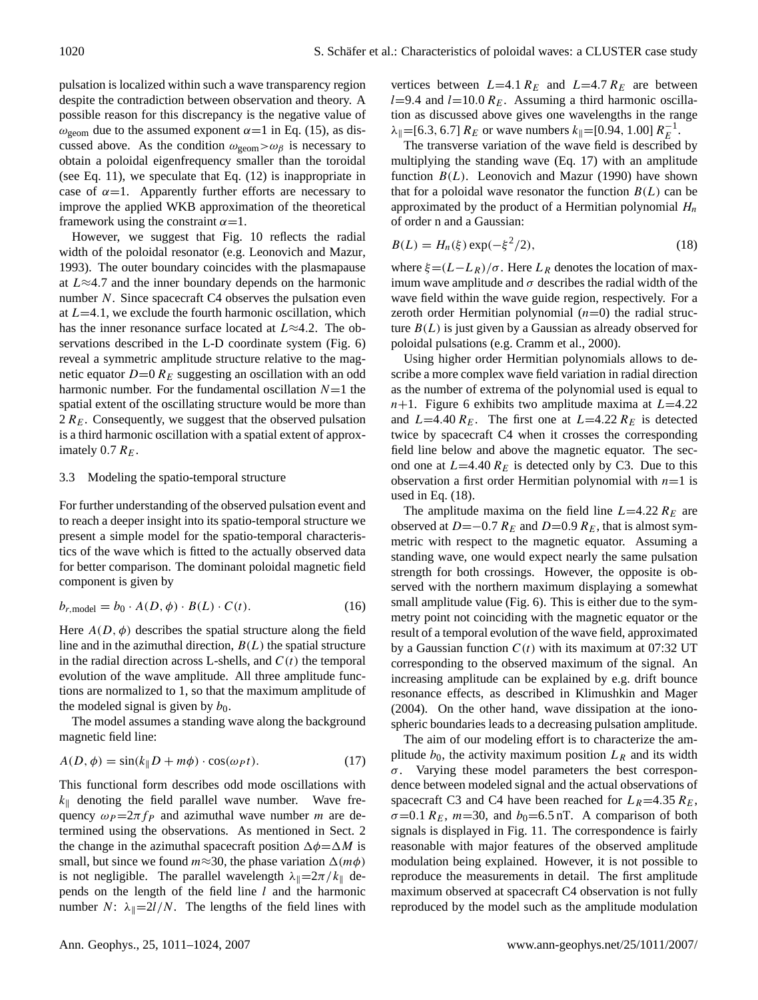pulsation is localized within such a wave transparency region despite the contradiction between observation and theory. A possible reason for this discrepancy is the negative value of  $\omega_{\text{geom}}$  due to the assumed exponent  $\alpha=1$  in Eq. [\(15\)](#page-8-3), as discussed above. As the condition  $\omega_{\text{geom}} > \omega_{\beta}$  is necessary to obtain a poloidal eigenfrequency smaller than the toroidal (see Eq. [11\)](#page-7-4), we speculate that Eq. [\(12\)](#page-7-5) is inappropriate in case of  $\alpha=1$ . Apparently further efforts are necessary to improve the applied WKB approximation of the theoretical framework using the constraint  $\alpha = 1$ .

However, we suggest that Fig. [10](#page-8-2) reflects the radial width of the poloidal resonator (e.g. [Leonovich and Mazur,](#page-12-12) [1993\)](#page-12-12). The outer boundary coincides with the plasmapause at L≈4.7 and the inner boundary depends on the harmonic number N. Since spacecraft C4 observes the pulsation even at  $L=4.1$ , we exclude the fourth harmonic oscillation, which has the inner resonance surface located at  $L \approx 4.2$ . The observations described in the L-D coordinate system (Fig. [6\)](#page-6-0) reveal a symmetric amplitude structure relative to the magnetic equator  $D=0$   $R_E$  suggesting an oscillation with an odd harmonic number. For the fundamental oscillation  $N=1$  the spatial extent of the oscillating structure would be more than  $2 R_E$ . Consequently, we suggest that the observed pulsation is a third harmonic oscillation with a spatial extent of approximately 0.7  $R_E$ .

# 3.3 Modeling the spatio-temporal structure

For further understanding of the observed pulsation event and to reach a deeper insight into its spatio-temporal structure we present a simple model for the spatio-temporal characteristics of the wave which is fitted to the actually observed data for better comparison. The dominant poloidal magnetic field component is given by

$$
b_{r,\text{model}} = b_0 \cdot A(D,\phi) \cdot B(L) \cdot C(t). \tag{16}
$$

Here  $A(D, \phi)$  describes the spatial structure along the field line and in the azimuthal direction,  $B(L)$  the spatial structure in the radial direction across L-shells, and  $C(t)$  the temporal evolution of the wave amplitude. All three amplitude functions are normalized to 1, so that the maximum amplitude of the modeled signal is given by  $b_0$ .

The model assumes a standing wave along the background magnetic field line:

<span id="page-9-0"></span>
$$
A(D, \phi) = \sin(k_{\parallel}D + m\phi) \cdot \cos(\omega_P t). \tag{17}
$$

This functional form describes odd mode oscillations with  $k_{\parallel}$  denoting the field parallel wave number. Wave frequency  $\omega_P = 2\pi f_P$  and azimuthal wave number m are determined using the observations. As mentioned in Sect. [2](#page-2-1) the change in the azimuthal spacecraft position  $\Delta \phi = \Delta M$  is small, but since we found  $m \approx 30$ , the phase variation  $\Delta(m\phi)$ is not negligible. The parallel wavelength  $\lambda_{\parallel} = 2\pi/k_{\parallel}$  depends on the length of the field line  $l$  and the harmonic number N:  $\lambda_{\parallel}=2l/N$ . The lengths of the field lines with

vertices between  $L=4.1 R_E$  and  $L=4.7 R_E$  are between  $l=9.4$  and  $l=10.0$   $R_E$ . Assuming a third harmonic oscillation as discussed above gives one wavelengths in the range  $\lambda_{\parallel} = [6.3, 6.7] R_E$  or wave numbers  $k_{\parallel} = [0.94, 1.00] R_E^{-1}$ .

The transverse variation of the wave field is described by multiplying the standing wave (Eq. [17\)](#page-9-0) with an amplitude function  $B(L)$ . [Leonovich and Mazur](#page-12-8) [\(1990\)](#page-12-8) have shown that for a poloidal wave resonator the function  $B(L)$  can be approximated by the product of a Hermitian polynomial  $H_n$ of order n and a Gaussian:

<span id="page-9-1"></span>
$$
B(L) = H_n(\xi) \exp(-\xi^2/2),
$$
 (18)

where  $\xi = (L - L_R)/\sigma$ . Here  $L_R$  denotes the location of maximum wave amplitude and  $\sigma$  describes the radial width of the wave field within the wave guide region, respectively. For a zeroth order Hermitian polynomial  $(n=0)$  the radial structure  $B(L)$  is just given by a Gaussian as already observed for poloidal pulsations (e.g. [Cramm et al.,](#page-11-4) [2000\)](#page-11-4).

Using higher order Hermitian polynomials allows to describe a more complex wave field variation in radial direction as the number of extrema of the polynomial used is equal to  $n+1$ . Figure [6](#page-6-0) exhibits two amplitude maxima at  $L=4.22$ and  $L=4.40 R_E$ . The first one at  $L=4.22 R_E$  is detected twice by spacecraft C4 when it crosses the corresponding field line below and above the magnetic equator. The second one at  $L=4.40 R_E$  is detected only by C3. Due to this observation a first order Hermitian polynomial with  $n=1$  is used in Eq. [\(18\)](#page-9-1).

The amplitude maxima on the field line  $L=4.22 R_E$  are observed at  $D=-0.7 R_E$  and  $D=0.9 R_E$ , that is almost symmetric with respect to the magnetic equator. Assuming a standing wave, one would expect nearly the same pulsation strength for both crossings. However, the opposite is observed with the northern maximum displaying a somewhat small amplitude value (Fig. [6\)](#page-6-0). This is either due to the symmetry point not coinciding with the magnetic equator or the result of a temporal evolution of the wave field, approximated by a Gaussian function  $C(t)$  with its maximum at 07:32 UT corresponding to the observed maximum of the signal. An increasing amplitude can be explained by e.g. drift bounce resonance effects, as described in [Klimushkin and Mager](#page-12-31) [\(2004\)](#page-12-31). On the other hand, wave dissipation at the ionospheric boundaries leads to a decreasing pulsation amplitude.

The aim of our modeling effort is to characterize the amplitude  $b_0$ , the activity maximum position  $L_R$  and its width  $\sigma$ . Varying these model parameters the best correspondence between modeled signal and the actual observations of spacecraft C3 and C4 have been reached for  $L_R$ =4.35  $R_E$ ,  $\sigma$ =0.1 R<sub>E</sub>, m=30, and b<sub>0</sub>=6.5 nT. A comparison of both signals is displayed in Fig. [11.](#page-10-0) The correspondence is fairly reasonable with major features of the observed amplitude modulation being explained. However, it is not possible to reproduce the measurements in detail. The first amplitude maximum observed at spacecraft C4 observation is not fully reproduced by the model such as the amplitude modulation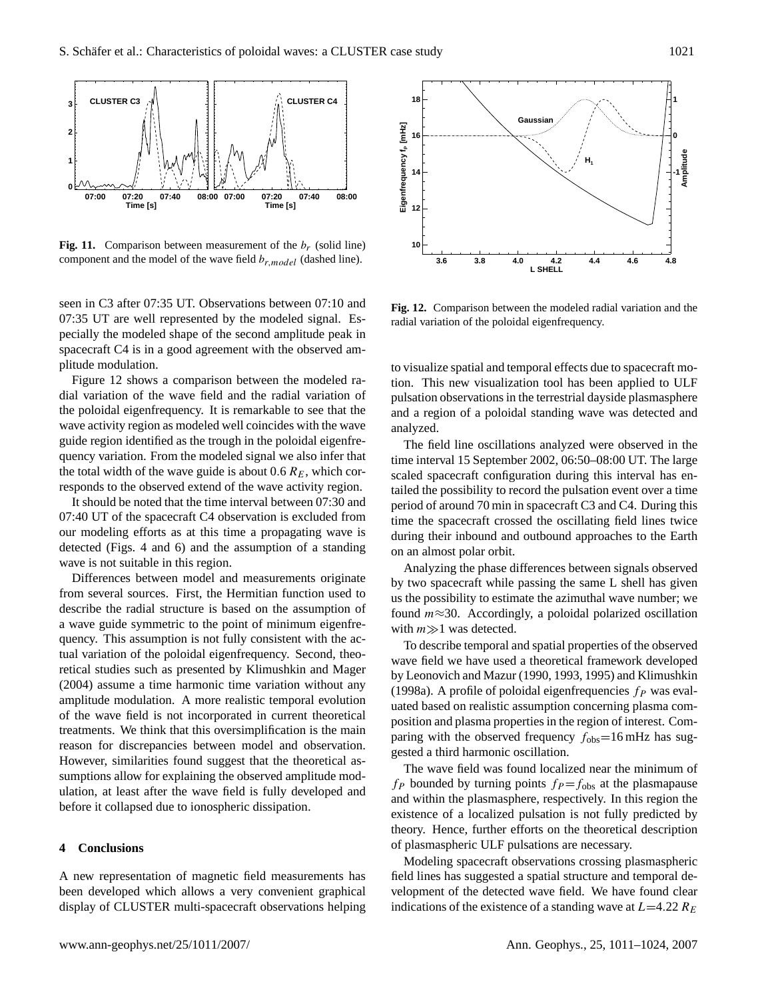

<span id="page-10-0"></span>**Fig. 11.** Comparison between measurement of the  $b_r$  (solid line) component and the model of the wave field  $b_{r, model}$  (dashed line).

seen in C3 after 07:35 UT. Observations between 07:10 and 07:35 UT are well represented by the modeled signal. Especially the modeled shape of the second amplitude peak in spacecraft C4 is in a good agreement with the observed amplitude modulation.

Figure [12](#page-10-1) shows a comparison between the modeled radial variation of the wave field and the radial variation of the poloidal eigenfrequency. It is remarkable to see that the wave activity region as modeled well coincides with the wave guide region identified as the trough in the poloidal eigenfrequency variation. From the modeled signal we also infer that the total width of the wave guide is about 0.6  $R_E$ , which corresponds to the observed extend of the wave activity region.

It should be noted that the time interval between 07:30 and 07:40 UT of the spacecraft C4 observation is excluded from our modeling efforts as at this time a propagating wave is detected (Figs. [4](#page-4-1) and [6\)](#page-6-0) and the assumption of a standing wave is not suitable in this region.

Differences between model and measurements originate from several sources. First, the Hermitian function used to describe the radial structure is based on the assumption of a wave guide symmetric to the point of minimum eigenfrequency. This assumption is not fully consistent with the actual variation of the poloidal eigenfrequency. Second, theoretical studies such as presented by [Klimushkin and Mager](#page-12-31) [\(2004\)](#page-12-31) assume a time harmonic time variation without any amplitude modulation. A more realistic temporal evolution of the wave field is not incorporated in current theoretical treatments. We think that this oversimplification is the main reason for discrepancies between model and observation. However, similarities found suggest that the theoretical assumptions allow for explaining the observed amplitude modulation, at least after the wave field is fully developed and before it collapsed due to ionospheric dissipation.

### **4 Conclusions**

A new representation of magnetic field measurements has been developed which allows a very convenient graphical display of CLUSTER multi-spacecraft observations helping



<span id="page-10-1"></span>**Fig. 12.** Comparison between the modeled radial variation and the radial variation of the poloidal eigenfrequency.

to visualize spatial and temporal effects due to spacecraft motion. This new visualization tool has been applied to ULF pulsation observations in the terrestrial dayside plasmasphere and a region of a poloidal standing wave was detected and analyzed.

The field line oscillations analyzed were observed in the time interval 15 September 2002, 06:50–08:00 UT. The large scaled spacecraft configuration during this interval has entailed the possibility to record the pulsation event over a time period of around 70 min in spacecraft C3 and C4. During this time the spacecraft crossed the oscillating field lines twice during their inbound and outbound approaches to the Earth on an almost polar orbit.

Analyzing the phase differences between signals observed by two spacecraft while passing the same L shell has given us the possibility to estimate the azimuthal wave number; we found  $m \approx 30$ . Accordingly, a poloidal polarized oscillation with  $m \gg 1$  was detected.

To describe temporal and spatial properties of the observed wave field we have used a theoretical framework developed by [Leonovich and Mazur](#page-12-8) [\(1990,](#page-12-8) [1993,](#page-12-12) [1995\)](#page-12-13) and [Klimushkin](#page-12-14) [\(1998a\)](#page-12-14). A profile of poloidal eigenfrequencies  $f_P$  was evaluated based on realistic assumption concerning plasma composition and plasma properties in the region of interest. Comparing with the observed frequency  $f_{\text{obs}}$ =16 mHz has suggested a third harmonic oscillation.

The wave field was found localized near the minimum of  $f_P$  bounded by turning points  $f_P = f_{obs}$  at the plasmapause and within the plasmasphere, respectively. In this region the existence of a localized pulsation is not fully predicted by theory. Hence, further efforts on the theoretical description of plasmaspheric ULF pulsations are necessary.

Modeling spacecraft observations crossing plasmaspheric field lines has suggested a spatial structure and temporal development of the detected wave field. We have found clear indications of the existence of a standing wave at  $L=4.22 R_E$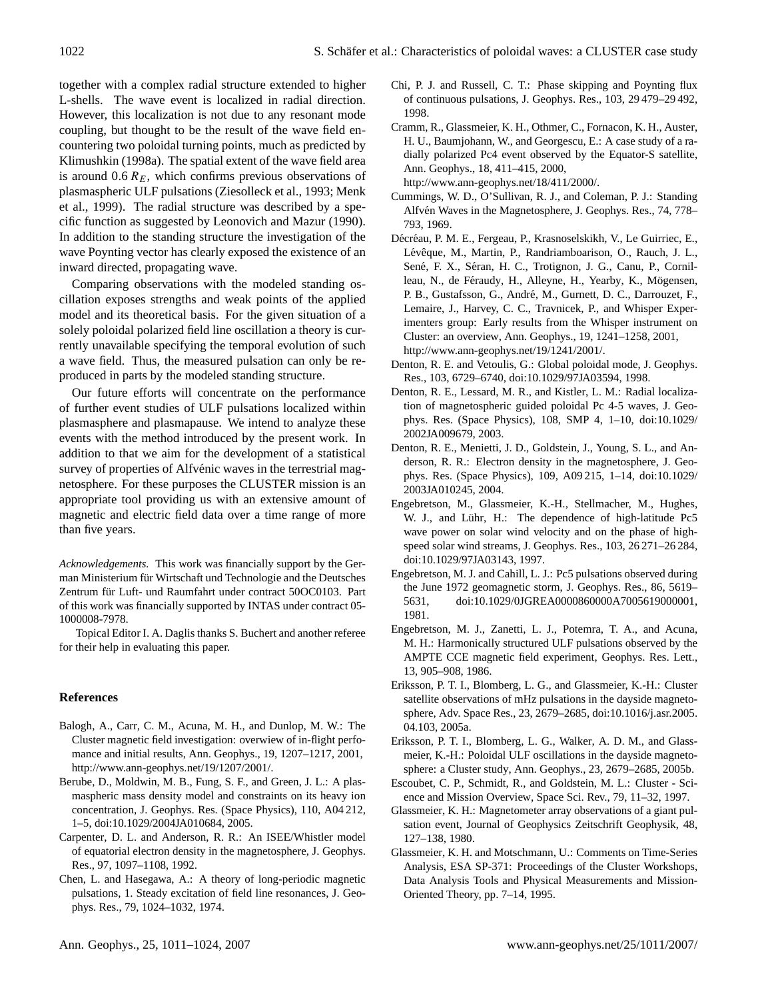together with a complex radial structure extended to higher L-shells. The wave event is localized in radial direction. However, this localization is not due to any resonant mode coupling, but thought to be the result of the wave field encountering two poloidal turning points, much as predicted by [Klimushkin](#page-12-14) [\(1998a\)](#page-12-14). The spatial extent of the wave field area is around  $0.6 R<sub>E</sub>$ , which confirms previous observations of plasmaspheric ULF pulsations [\(Ziesolleck et al.,](#page-13-12) [1993;](#page-13-12) [Menk](#page-12-32) [et al.,](#page-12-32) [1999\)](#page-12-32). The radial structure was described by a specific function as suggested by [Leonovich and Mazur](#page-12-8) [\(1990\)](#page-12-8). In addition to the standing structure the investigation of the wave Poynting vector has clearly exposed the existence of an inward directed, propagating wave.

Comparing observations with the modeled standing oscillation exposes strengths and weak points of the applied model and its theoretical basis. For the given situation of a solely poloidal polarized field line oscillation a theory is currently unavailable specifying the temporal evolution of such a wave field. Thus, the measured pulsation can only be reproduced in parts by the modeled standing structure.

Our future efforts will concentrate on the performance of further event studies of ULF pulsations localized within plasmasphere and plasmapause. We intend to analyze these events with the method introduced by the present work. In addition to that we aim for the development of a statistical survey of properties of Alfvénic waves in the terrestrial magnetosphere. For these purposes the CLUSTER mission is an appropriate tool providing us with an extensive amount of magnetic and electric field data over a time range of more than five years.

*Acknowledgements.* This work was financially support by the German Ministerium für Wirtschaft und Technologie and the Deutsches Zentrum für Luft- und Raumfahrt under contract 50OC0103. Part of this work was financially supported by INTAS under contract 05- 1000008-7978.

Topical Editor I. A. Daglis thanks S. Buchert and another referee for their help in evaluating this paper.

## **References**

- <span id="page-11-8"></span>Balogh, A., Carr, C. M., Acuna, M. H., and Dunlop, M. W.: The Cluster magnetic field investigation: overwiew of in-flight perfomance and initial results, Ann. Geophys., 19, 1207–1217, 2001, [http://www.ann-geophys.net/19/1207/2001/.](http://www.ann-geophys.net/19/1207/2001/)
- <span id="page-11-18"></span>Berube, D., Moldwin, M. B., Fung, S. F., and Green, J. L.: A plasmaspheric mass density model and constraints on its heavy ion concentration, J. Geophys. Res. (Space Physics), 110, A04 212, 1–5, doi:10.1029/2004JA010684, 2005.
- <span id="page-11-15"></span>Carpenter, D. L. and Anderson, R. R.: An ISEE/Whistler model of equatorial electron density in the magnetosphere, J. Geophys. Res., 97, 1097–1108, 1992.
- <span id="page-11-0"></span>Chen, L. and Hasegawa, A.: A theory of long-periodic magnetic pulsations, 1. Steady excitation of field line resonances, J. Geophys. Res., 79, 1024–1032, 1974.
- <span id="page-11-10"></span>Chi, P. J. and Russell, C. T.: Phase skipping and Poynting flux of continuous pulsations, J. Geophys. Res., 103, 29 479–29 492, 1998.
- <span id="page-11-4"></span>Cramm, R., Glassmeier, K. H., Othmer, C., Fornacon, K. H., Auster, H. U., Baumjohann, W., and Georgescu, E.: A case study of a radially polarized Pc4 event observed by the Equator-S satellite, Ann. Geophys., 18, 411–415, 2000, [http://www.ann-geophys.net/18/411/2000/.](http://www.ann-geophys.net/18/411/2000/)
- <span id="page-11-16"></span>Cummings, W. D., O'Sullivan, R. J., and Coleman, P. J.: Standing Alfvén Waves in the Magnetosphere, J. Geophys. Res., 74, 778-793, 1969.
- <span id="page-11-9"></span>Décréau, P. M. E., Fergeau, P., Krasnoselskikh, V., Le Guirriec, E., Lévêque, M., Martin, P., Randriamboarison, O., Rauch, J. L., Sené, F. X., Séran, H. C., Trotignon, J. G., Canu, P., Cornilleau, N., de Féraudy, H., Alleyne, H., Yearby, K., Mögensen, P. B., Gustafsson, G., André, M., Gurnett, D. C., Darrouzet, F., Lemaire, J., Harvey, C. C., Travnicek, P., and Whisper Experimenters group: Early results from the Whisper instrument on Cluster: an overview, Ann. Geophys., 19, 1241–1258, 2001, [http://www.ann-geophys.net/19/1241/2001/.](http://www.ann-geophys.net/19/1241/2001/)
- <span id="page-11-7"></span>Denton, R. E. and Vetoulis, G.: Global poloidal mode, J. Geophys. Res., 103, 6729–6740, doi:10.1029/97JA03594, 1998.
- <span id="page-11-14"></span>Denton, R. E., Lessard, M. R., and Kistler, L. M.: Radial localization of magnetospheric guided poloidal Pc 4-5 waves, J. Geophys. Res. (Space Physics), 108, SMP 4, 1–10, doi:10.1029/ 2002JA009679, 2003.
- <span id="page-11-17"></span>Denton, R. E., Menietti, J. D., Goldstein, J., Young, S. L., and Anderson, R. R.: Electron density in the magnetosphere, J. Geophys. Res. (Space Physics), 109, A09 215, 1–14, doi:10.1029/ 2003JA010245, 2004.
- <span id="page-11-3"></span>Engebretson, M., Glassmeier, K.-H., Stellmacher, M., Hughes, W. J., and Lühr, H.: The dependence of high-latitude Pc5 wave power on solar wind velocity and on the phase of highspeed solar wind streams, J. Geophys. Res., 103, 26 271–26 284, doi:10.1029/97JA03143, 1997.
- <span id="page-11-1"></span>Engebretson, M. J. and Cahill, L. J.: Pc5 pulsations observed during the June 1972 geomagnetic storm, J. Geophys. Res., 86, 5619– 5631, doi:10.1029/0JGREA0000860000A7005619000001, 1981.
- <span id="page-11-2"></span>Engebretson, M. J., Zanetti, L. J., Potemra, T. A., and Acuna, M. H.: Harmonically structured ULF pulsations observed by the AMPTE CCE magnetic field experiment, Geophys. Res. Lett., 13, 905–908, 1986.
- <span id="page-11-13"></span>Eriksson, P. T. I., Blomberg, L. G., and Glassmeier, K.-H.: Cluster satellite observations of mHz pulsations in the dayside magnetosphere, Adv. Space Res., 23, 2679–2685, doi:10.1016/j.asr.2005. 04.103, 2005a.
- <span id="page-11-6"></span>Eriksson, P. T. I., Blomberg, L. G., Walker, A. D. M., and Glassmeier, K.-H.: Poloidal ULF oscillations in the dayside magnetosphere: a Cluster study, Ann. Geophys., 23, 2679–2685, 2005b.
- <span id="page-11-5"></span>Escoubet, C. P., Schmidt, R., and Goldstein, M. L.: Cluster - Science and Mission Overview, Space Sci. Rev., 79, 11–32, 1997.
- <span id="page-11-11"></span>Glassmeier, K. H.: Magnetometer array observations of a giant pulsation event, Journal of Geophysics Zeitschrift Geophysik, 48, 127–138, 1980.
- <span id="page-11-12"></span>Glassmeier, K. H. and Motschmann, U.: Comments on Time-Series Analysis, ESA SP-371: Proceedings of the Cluster Workshops, Data Analysis Tools and Physical Measurements and Mission-Oriented Theory, pp. 7–14, 1995.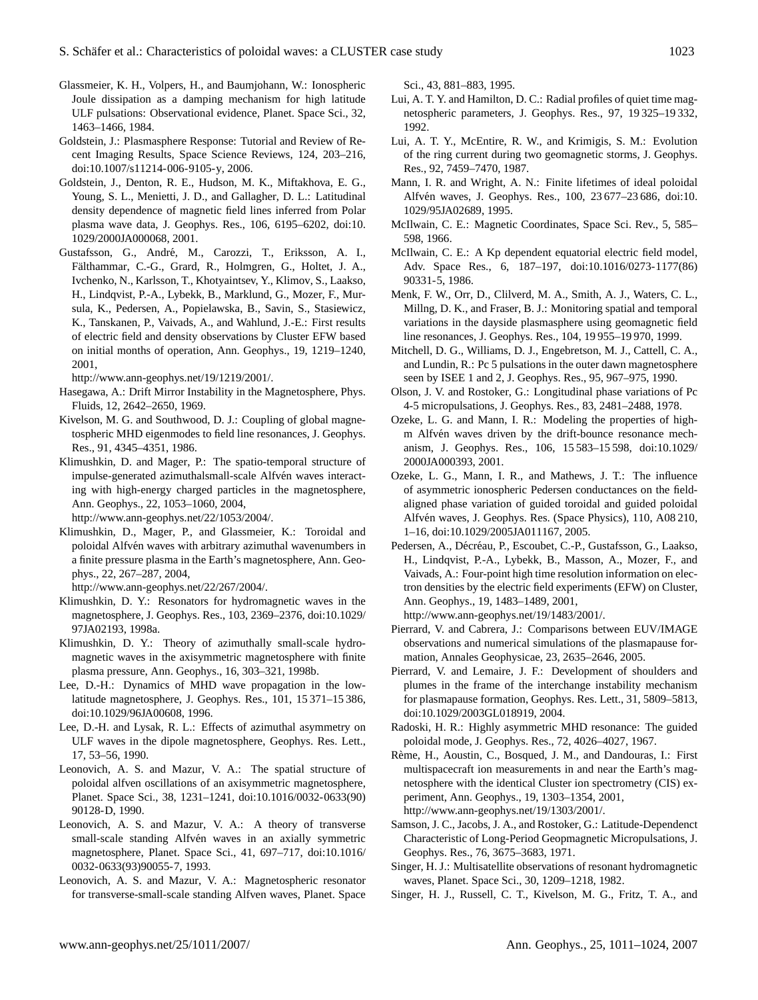- <span id="page-12-3"></span>Glassmeier, K. H., Volpers, H., and Baumjohann, W.: Ionospheric Joule dissipation as a damping mechanism for high latitude ULF pulsations: Observational evidence, Planet. Space Sci., 32, 1463–1466, 1984.
- <span id="page-12-29"></span>Goldstein, J.: Plasmasphere Response: Tutorial and Review of Recent Imaging Results, Space Science Reviews, 124, 203–216, doi:10.1007/s11214-006-9105-y, 2006.
- <span id="page-12-28"></span>Goldstein, J., Denton, R. E., Hudson, M. K., Miftakhova, E. G., Young, S. L., Menietti, J. D., and Gallagher, D. L.: Latitudinal density dependence of magnetic field lines inferred from Polar plasma wave data, J. Geophys. Res., 106, 6195–6202, doi:10. 1029/2000JA000068, 2001.
- <span id="page-12-15"></span>Gustafsson, G., André, M., Carozzi, T., Eriksson, A. I., Fälthammar, C.-G., Grard, R., Holmgren, G., Holtet, J. A., Ivchenko, N., Karlsson, T., Khotyaintsev, Y., Klimov, S., Laakso, H., Lindqvist, P.-A., Lybekk, B., Marklund, G., Mozer, F., Mursula, K., Pedersen, A., Popielawska, B., Savin, S., Stasiewicz, K., Tanskanen, P., Vaivads, A., and Wahlund, J.-E.: First results of electric field and density observations by Cluster EFW based on initial months of operation, Ann. Geophys., 19, 1219–1240, 2001,

[http://www.ann-geophys.net/19/1219/2001/.](http://www.ann-geophys.net/19/1219/2001/)

- <span id="page-12-11"></span>Hasegawa, A.: Drift Mirror Instability in the Magnetosphere, Phys. Fluids, 12, 2642–2650, 1969.
- <span id="page-12-6"></span>Kivelson, M. G. and Southwood, D. J.: Coupling of global magnetospheric MHD eigenmodes to field line resonances, J. Geophys. Res., 91, 4345–4351, 1986.
- <span id="page-12-31"></span>Klimushkin, D. and Mager, P.: The spatio-temporal structure of impulse-generated azimuthalsmall-scale Alfvén waves interacting with high-energy charged particles in the magnetosphere, Ann. Geophys., 22, 1053–1060, 2004,

[http://www.ann-geophys.net/22/1053/2004/.](http://www.ann-geophys.net/22/1053/2004/)

<span id="page-12-30"></span>Klimushkin, D., Mager, P., and Glassmeier, K.: Toroidal and poloidal Alfvén waves with arbitrary azimuthal wavenumbers in a finite pressure plasma in the Earth's magnetosphere, Ann. Geophys., 22, 267–287, 2004,

[http://www.ann-geophys.net/22/267/2004/.](http://www.ann-geophys.net/22/267/2004/)

- <span id="page-12-14"></span>Klimushkin, D. Y.: Resonators for hydromagnetic waves in the magnetosphere, J. Geophys. Res., 103, 2369–2376, doi:10.1029/ 97JA02193, 1998a.
- <span id="page-12-25"></span>Klimushkin, D. Y.: Theory of azimuthally small-scale hydromagnetic waves in the axisymmetric magnetosphere with finite plasma pressure, Ann. Geophys., 16, 303–321, 1998b.
- <span id="page-12-24"></span>Lee, D.-H.: Dynamics of MHD wave propagation in the lowlatitude magnetosphere, J. Geophys. Res., 101, 15 371–15 386, doi:10.1029/96JA00608, 1996.
- <span id="page-12-7"></span>Lee, D.-H. and Lysak, R. L.: Effects of azimuthal asymmetry on ULF waves in the dipole magnetosphere, Geophys. Res. Lett., 17, 53–56, 1990.
- <span id="page-12-8"></span>Leonovich, A. S. and Mazur, V. A.: The spatial structure of poloidal alfven oscillations of an axisymmetric magnetosphere, Planet. Space Sci., 38, 1231–1241, doi:10.1016/0032-0633(90) 90128-D, 1990.
- <span id="page-12-12"></span>Leonovich, A. S. and Mazur, V. A.: A theory of transverse small-scale standing Alfvén waves in an axially symmetric magnetosphere, Planet. Space Sci., 41, 697–717, doi:10.1016/ 0032-0633(93)90055-7, 1993.
- <span id="page-12-13"></span>Leonovich, A. S. and Mazur, V. A.: Magnetospheric resonator for transverse-small-scale standing Alfven waves, Planet. Space

Sci., 43, 881–883, 1995.

- <span id="page-12-26"></span>Lui, A. T. Y. and Hamilton, D. C.: Radial profiles of quiet time magnetospheric parameters, J. Geophys. Res., 97, 19 325–19 332, 1992.
- <span id="page-12-27"></span>Lui, A. T. Y., McEntire, R. W., and Krimigis, S. M.: Evolution of the ring current during two geomagnetic storms, J. Geophys. Res., 92, 7459–7470, 1987.
- <span id="page-12-9"></span>Mann, I. R. and Wright, A. N.: Finite lifetimes of ideal poloidal Alfvén waves, J. Geophys. Res., 100, 23 677-23 686, doi:10. 1029/95JA02689, 1995.
- <span id="page-12-22"></span>McIlwain, C. E.: Magnetic Coordinates, Space Sci. Rev., 5, 585– 598, 1966.
- <span id="page-12-18"></span>McIlwain, C. E.: A Kp dependent equatorial electric field model, Adv. Space Res., 6, 187–197, doi:10.1016/0273-1177(86) 90331-5, 1986.
- <span id="page-12-32"></span>Menk, F. W., Orr, D., Clilverd, M. A., Smith, A. J., Waters, C. L., Millng, D. K., and Fraser, B. J.: Monitoring spatial and temporal variations in the dayside plasmasphere using geomagnetic field line resonances, J. Geophys. Res., 104, 19 955–19 970, 1999.
- <span id="page-12-2"></span>Mitchell, D. G., Williams, D. J., Engebretson, M. J., Cattell, C. A., and Lundin, R.: Pc 5 pulsations in the outer dawn magnetosphere seen by ISEE 1 and 2, J. Geophys. Res., 95, 967–975, 1990.
- <span id="page-12-1"></span>Olson, J. V. and Rostoker, G.: Longitudinal phase variations of Pc 4-5 micropulsations, J. Geophys. Res., 83, 2481–2488, 1978.
- <span id="page-12-10"></span>Ozeke, L. G. and Mann, I. R.: Modeling the properties of highm Alfvén waves driven by the drift-bounce resonance mechanism, J. Geophys. Res., 106, 15 583–15 598, doi:10.1029/ 2000JA000393, 2001.
- <span id="page-12-21"></span>Ozeke, L. G., Mann, I. R., and Mathews, J. T.: The influence of asymmetric ionospheric Pedersen conductances on the fieldaligned phase variation of guided toroidal and guided poloidal Alfvén waves, J. Geophys. Res. (Space Physics), 110, A08 210, 1–16, doi:10.1029/2005JA011167, 2005.
- <span id="page-12-19"></span>Pedersen, A., Décréau, P., Escoubet, C.-P., Gustafsson, G., Laakso, H., Lindqvist, P.-A., Lybekk, B., Masson, A., Mozer, F., and Vaivads, A.: Four-point high time resolution information on electron densities by the electric field experiments (EFW) on Cluster, Ann. Geophys., 19, 1483–1489, 2001, [http://www.ann-geophys.net/19/1483/2001/.](http://www.ann-geophys.net/19/1483/2001/)
- <span id="page-12-17"></span>Pierrard, V. and Cabrera, J.: Comparisons between EUV/IMAGE observations and numerical simulations of the plasmapause formation, Annales Geophysicae, 23, 2635–2646, 2005.
- <span id="page-12-16"></span>Pierrard, V. and Lemaire, J. F.: Development of shoulders and plumes in the frame of the interchange instability mechanism for plasmapause formation, Geophys. Res. Lett., 31, 5809–5813, doi:10.1029/2003GL018919, 2004.
- <span id="page-12-23"></span>Radoski, H. R.: Highly asymmetric MHD resonance: The guided poloidal mode, J. Geophys. Res., 72, 4026–4027, 1967.
- <span id="page-12-20"></span>Rème, H., Aoustin, C., Bosqued, J. M., and Dandouras, I.: First multispacecraft ion measurements in and near the Earth's magnetosphere with the identical Cluster ion spectrometry (CIS) experiment, Ann. Geophys., 19, 1303–1354, 2001, [http://www.ann-geophys.net/19/1303/2001/.](http://www.ann-geophys.net/19/1303/2001/)
- <span id="page-12-0"></span>Samson, J. C., Jacobs, J. A., and Rostoker, G.: Latitude-Dependenct Characteristic of Long-Period Geopmagnetic Micropulsations, J. Geophys. Res., 76, 3675–3683, 1971.
- <span id="page-12-5"></span>Singer, H. J.: Multisatellite observations of resonant hydromagnetic waves, Planet. Space Sci., 30, 1209–1218, 1982.
- <span id="page-12-4"></span>Singer, H. J., Russell, C. T., Kivelson, M. G., Fritz, T. A., and